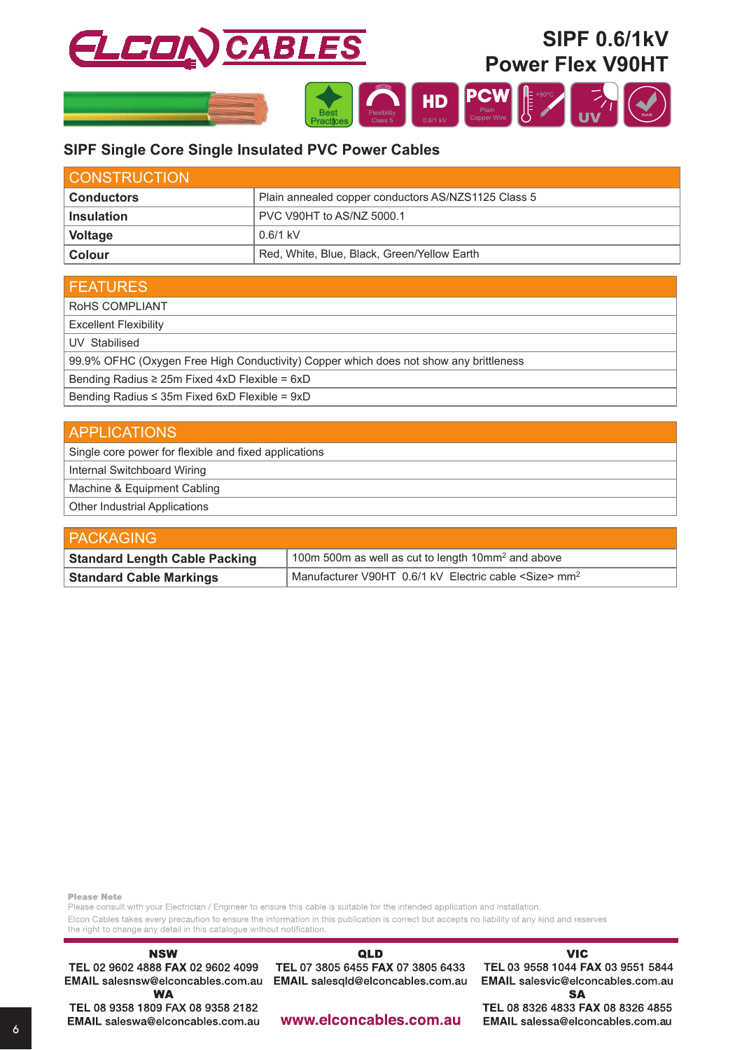

# SIPF Single Core Single Insulated PVC Power Cables

| <b>CONSTRUCTION</b>                                                      |                                             |  |  |  |
|--------------------------------------------------------------------------|---------------------------------------------|--|--|--|
| Plain annealed copper conductors AS/NZS1125 Class 5<br><b>Conductors</b> |                                             |  |  |  |
| <b>Insulation</b>                                                        | PVC V90HT to AS/NZ 5000.1                   |  |  |  |
| Voltage                                                                  | $0.6/1$ kV                                  |  |  |  |
| <b>Colour</b>                                                            | Red, White, Blue, Black, Green/Yellow Earth |  |  |  |

| <b>FEATURES</b>                                                                       |
|---------------------------------------------------------------------------------------|
| ROHS COMPLIANT                                                                        |
| <b>Excellent Flexibility</b>                                                          |
| UV Stabilised                                                                         |
| 99.9% OFHC (Oxygen Free High Conductivity) Copper which does not show any brittleness |
| Bending Radius $\geq$ 25m Fixed 4xD Flexible = 6xD                                    |
| Bending Radius $\leq$ 35m Fixed 6xD Flexible = 9xD                                    |

| <b>APPLICATIONS</b>                                   |
|-------------------------------------------------------|
| Single core power for flexible and fixed applications |
| Internal Switchboard Wiring                           |
| Machine & Equipment Cabling                           |
| <b>Other Industrial Applications</b>                  |

| <b>PACKAGING</b>                     |                                                                         |  |  |  |
|--------------------------------------|-------------------------------------------------------------------------|--|--|--|
| <b>Standard Length Cable Packing</b> | 100m 500m as well as cut to length 10mm <sup>2</sup> and above          |  |  |  |
| <b>Standard Cable Markings</b>       | Manufacturer V90HT 0.6/1 kV Electric cable <size> mm<sup>2</sup></size> |  |  |  |

**Please Note** 

Please consult with your Electrician / Engineer to ensure this cable is suitable for the intended application and installation. Elcon Cables takes every precaution to ensure the information in this publication is correct but accepts no liability of any kind and reserves the right to change any detail in this catalogue without notification.

# QLD

TEL 07 3805 6455 FAX 07 3805 6433 EMAIL salesqld@elconcables.com.au EMAIL salesnsw@elconcables.com.au

#### **VIC**

TEL 03 9558 1044 FAX 03 9551 5844 EMAIL salesvic@elconcables.com.au **SA** 

**WA** TEL 08 9358 1809 FAX 08 9358 2182 EMAIL saleswa@elconcables.com.au

**NSW** 

TEL 02 9602 4888 FAX 02 9602 4099

www.elconcables.com.au

TEL 08 8326 4833 FAX 08 8326 4855 EMAIL salessa@elconcables.com.au